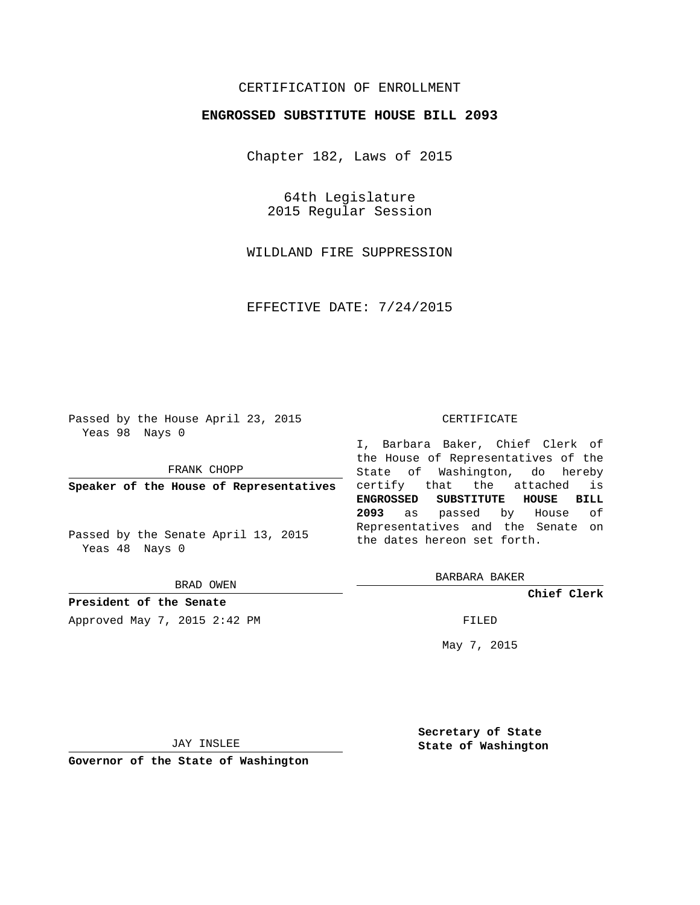## CERTIFICATION OF ENROLLMENT

## **ENGROSSED SUBSTITUTE HOUSE BILL 2093**

Chapter 182, Laws of 2015

64th Legislature 2015 Regular Session

WILDLAND FIRE SUPPRESSION

EFFECTIVE DATE: 7/24/2015

Passed by the House April 23, 2015 Yeas 98 Nays 0

FRANK CHOPP

**Speaker of the House of Representatives**

Passed by the Senate April 13, 2015 Yeas 48 Nays 0

BRAD OWEN

**President of the Senate**

Approved May 7, 2015 2:42 PM FILED

#### CERTIFICATE

I, Barbara Baker, Chief Clerk of the House of Representatives of the State of Washington, do hereby certify that the attached is **ENGROSSED SUBSTITUTE HOUSE BILL 2093** as passed by House of Representatives and the Senate on the dates hereon set forth.

BARBARA BAKER

**Chief Clerk**

May 7, 2015

JAY INSLEE

**Governor of the State of Washington**

**Secretary of State State of Washington**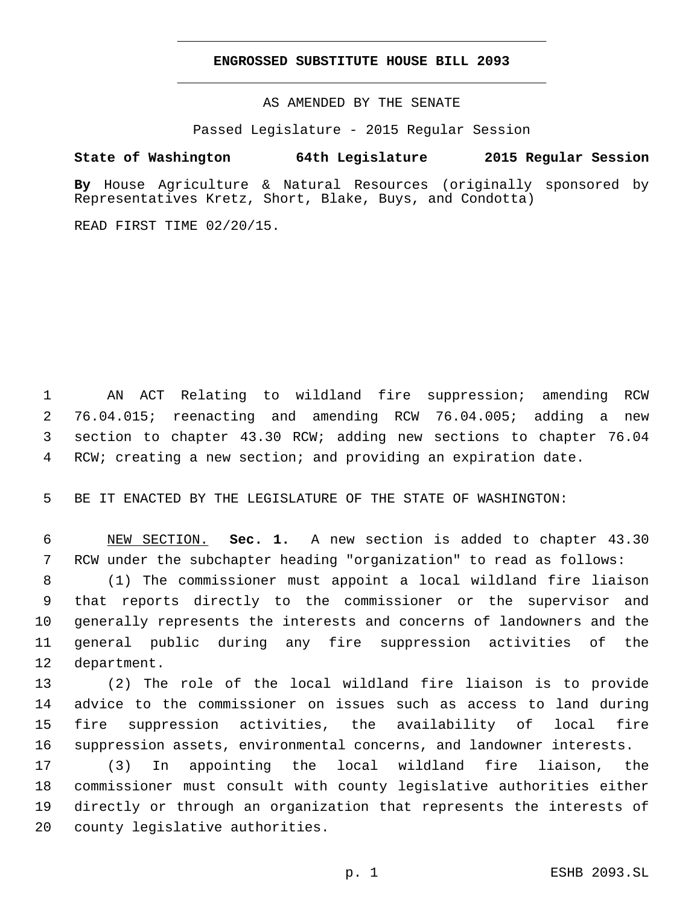### **ENGROSSED SUBSTITUTE HOUSE BILL 2093**

AS AMENDED BY THE SENATE

Passed Legislature - 2015 Regular Session

# **State of Washington 64th Legislature 2015 Regular Session**

**By** House Agriculture & Natural Resources (originally sponsored by Representatives Kretz, Short, Blake, Buys, and Condotta)

READ FIRST TIME 02/20/15.

 AN ACT Relating to wildland fire suppression; amending RCW 76.04.015; reenacting and amending RCW 76.04.005; adding a new section to chapter 43.30 RCW; adding new sections to chapter 76.04 RCW; creating a new section; and providing an expiration date.

BE IT ENACTED BY THE LEGISLATURE OF THE STATE OF WASHINGTON:

 NEW SECTION. **Sec. 1.** A new section is added to chapter 43.30 RCW under the subchapter heading "organization" to read as follows:

 (1) The commissioner must appoint a local wildland fire liaison that reports directly to the commissioner or the supervisor and generally represents the interests and concerns of landowners and the general public during any fire suppression activities of the 12 department.

 (2) The role of the local wildland fire liaison is to provide advice to the commissioner on issues such as access to land during fire suppression activities, the availability of local fire suppression assets, environmental concerns, and landowner interests.

 (3) In appointing the local wildland fire liaison, the commissioner must consult with county legislative authorities either directly or through an organization that represents the interests of 20 county legislative authorities.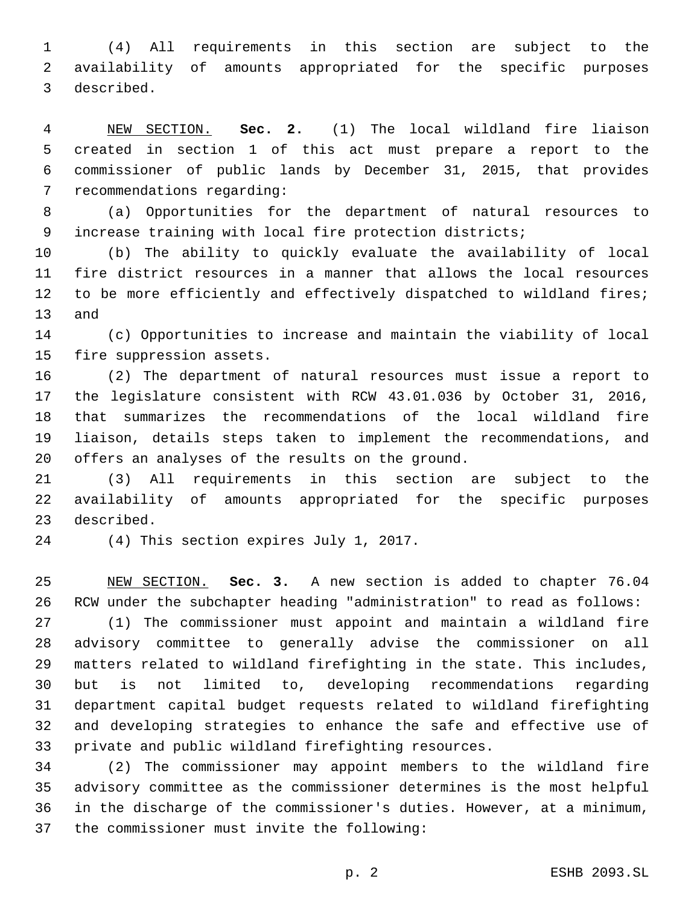(4) All requirements in this section are subject to the availability of amounts appropriated for the specific purposes 3 described.

 NEW SECTION. **Sec. 2.** (1) The local wildland fire liaison created in section 1 of this act must prepare a report to the commissioner of public lands by December 31, 2015, that provides recommendations regarding:

 (a) Opportunities for the department of natural resources to increase training with local fire protection districts;

 (b) The ability to quickly evaluate the availability of local fire district resources in a manner that allows the local resources to be more efficiently and effectively dispatched to wildland fires; 13 and

 (c) Opportunities to increase and maintain the viability of local 15 fire suppression assets.

 (2) The department of natural resources must issue a report to the legislature consistent with RCW 43.01.036 by October 31, 2016, that summarizes the recommendations of the local wildland fire liaison, details steps taken to implement the recommendations, and 20 offers an analyses of the results on the ground.

 (3) All requirements in this section are subject to the availability of amounts appropriated for the specific purposes 23 described.

24 (4) This section expires July 1, 2017.

 NEW SECTION. **Sec. 3.** A new section is added to chapter 76.04 RCW under the subchapter heading "administration" to read as follows:

 (1) The commissioner must appoint and maintain a wildland fire advisory committee to generally advise the commissioner on all matters related to wildland firefighting in the state. This includes, but is not limited to, developing recommendations regarding department capital budget requests related to wildland firefighting and developing strategies to enhance the safe and effective use of private and public wildland firefighting resources.

 (2) The commissioner may appoint members to the wildland fire advisory committee as the commissioner determines is the most helpful in the discharge of the commissioner's duties. However, at a minimum, 37 the commissioner must invite the following: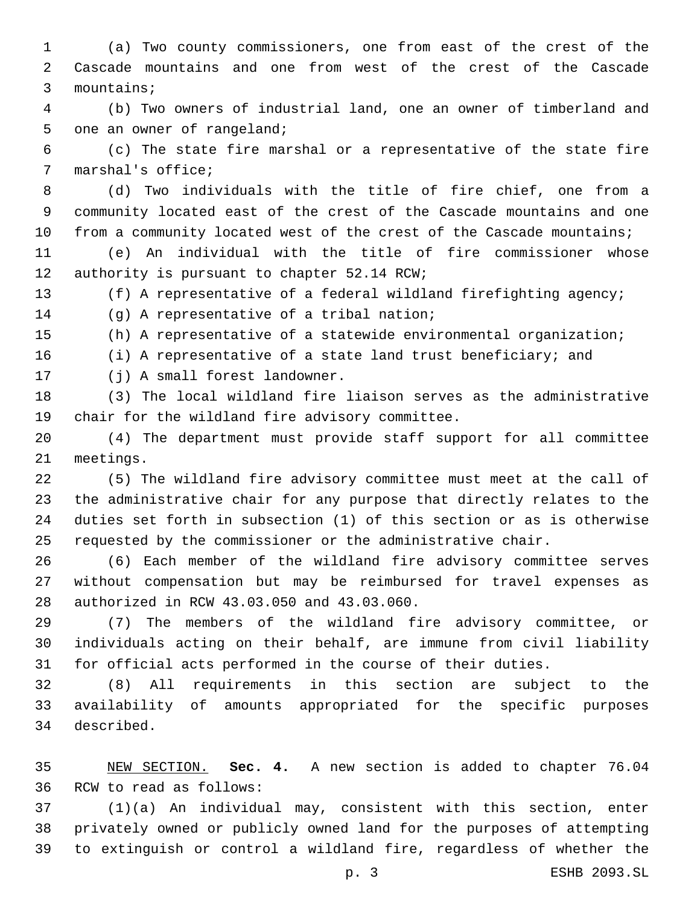(a) Two county commissioners, one from east of the crest of the Cascade mountains and one from west of the crest of the Cascade 3 mountains;

 (b) Two owners of industrial land, one an owner of timberland and 5 one an owner of rangeland;

 (c) The state fire marshal or a representative of the state fire 7 marshal's office;

 (d) Two individuals with the title of fire chief, one from a community located east of the crest of the Cascade mountains and one 10 from a community located west of the crest of the Cascade mountains;

 (e) An individual with the title of fire commissioner whose 12 authority is pursuant to chapter 52.14 RCW;

(f) A representative of a federal wildland firefighting agency;

14 (g) A representative of a tribal nation;

(h) A representative of a statewide environmental organization;

(i) A representative of a state land trust beneficiary; and

17 (j) A small forest landowner.

 (3) The local wildland fire liaison serves as the administrative 19 chair for the wildland fire advisory committee.

 (4) The department must provide staff support for all committee 21 meetings.

 (5) The wildland fire advisory committee must meet at the call of the administrative chair for any purpose that directly relates to the duties set forth in subsection (1) of this section or as is otherwise requested by the commissioner or the administrative chair.

 (6) Each member of the wildland fire advisory committee serves without compensation but may be reimbursed for travel expenses as 28 authorized in RCW 43.03.050 and 43.03.060.

 (7) The members of the wildland fire advisory committee, or individuals acting on their behalf, are immune from civil liability for official acts performed in the course of their duties.

 (8) All requirements in this section are subject to the availability of amounts appropriated for the specific purposes described.34

 NEW SECTION. **Sec. 4.** A new section is added to chapter 76.04 36 RCW to read as follows:

 (1)(a) An individual may, consistent with this section, enter privately owned or publicly owned land for the purposes of attempting to extinguish or control a wildland fire, regardless of whether the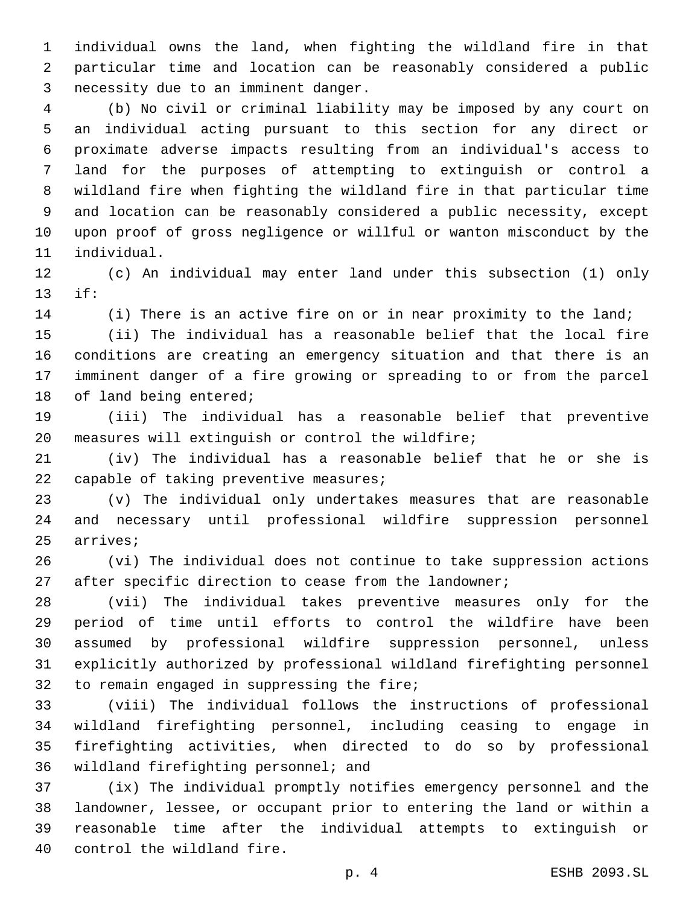individual owns the land, when fighting the wildland fire in that particular time and location can be reasonably considered a public 3 necessity due to an imminent danger.

 (b) No civil or criminal liability may be imposed by any court on an individual acting pursuant to this section for any direct or proximate adverse impacts resulting from an individual's access to land for the purposes of attempting to extinguish or control a wildland fire when fighting the wildland fire in that particular time and location can be reasonably considered a public necessity, except upon proof of gross negligence or willful or wanton misconduct by the 11 individual.

 (c) An individual may enter land under this subsection (1) only if:13

14 (i) There is an active fire on or in near proximity to the land;

 (ii) The individual has a reasonable belief that the local fire conditions are creating an emergency situation and that there is an imminent danger of a fire growing or spreading to or from the parcel 18 of land being entered;

 (iii) The individual has a reasonable belief that preventive 20 measures will extinguish or control the wildfire;

 (iv) The individual has a reasonable belief that he or she is 22 capable of taking preventive measures;

 (v) The individual only undertakes measures that are reasonable and necessary until professional wildfire suppression personnel 25 arrives;

 (vi) The individual does not continue to take suppression actions 27 after specific direction to cease from the landowner;

 (vii) The individual takes preventive measures only for the period of time until efforts to control the wildfire have been assumed by professional wildfire suppression personnel, unless explicitly authorized by professional wildland firefighting personnel 32 to remain engaged in suppressing the fire;

 (viii) The individual follows the instructions of professional wildland firefighting personnel, including ceasing to engage in firefighting activities, when directed to do so by professional 36 wildland firefighting personnel; and

 (ix) The individual promptly notifies emergency personnel and the landowner, lessee, or occupant prior to entering the land or within a reasonable time after the individual attempts to extinguish or 40 control the wildland fire.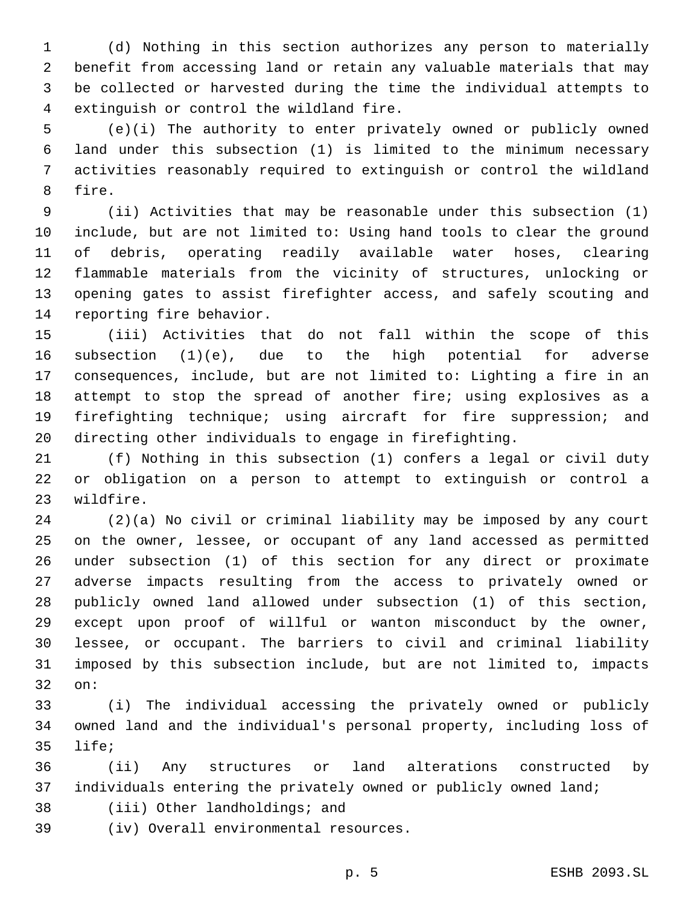(d) Nothing in this section authorizes any person to materially benefit from accessing land or retain any valuable materials that may be collected or harvested during the time the individual attempts to 4 extinguish or control the wildland fire.

 (e)(i) The authority to enter privately owned or publicly owned land under this subsection (1) is limited to the minimum necessary activities reasonably required to extinguish or control the wildland 8 fire.

 (ii) Activities that may be reasonable under this subsection (1) include, but are not limited to: Using hand tools to clear the ground of debris, operating readily available water hoses, clearing flammable materials from the vicinity of structures, unlocking or opening gates to assist firefighter access, and safely scouting and 14 reporting fire behavior.

 (iii) Activities that do not fall within the scope of this subsection (1)(e), due to the high potential for adverse consequences, include, but are not limited to: Lighting a fire in an attempt to stop the spread of another fire; using explosives as a firefighting technique; using aircraft for fire suppression; and directing other individuals to engage in firefighting.

 (f) Nothing in this subsection (1) confers a legal or civil duty or obligation on a person to attempt to extinguish or control a 23 wildfire.

 (2)(a) No civil or criminal liability may be imposed by any court on the owner, lessee, or occupant of any land accessed as permitted under subsection (1) of this section for any direct or proximate adverse impacts resulting from the access to privately owned or publicly owned land allowed under subsection (1) of this section, except upon proof of willful or wanton misconduct by the owner, lessee, or occupant. The barriers to civil and criminal liability imposed by this subsection include, but are not limited to, impacts 32 on:

 (i) The individual accessing the privately owned or publicly owned land and the individual's personal property, including loss of 35 life;

 (ii) Any structures or land alterations constructed by individuals entering the privately owned or publicly owned land;

38 (iii) Other landholdings; and

(iv) Overall environmental resources.39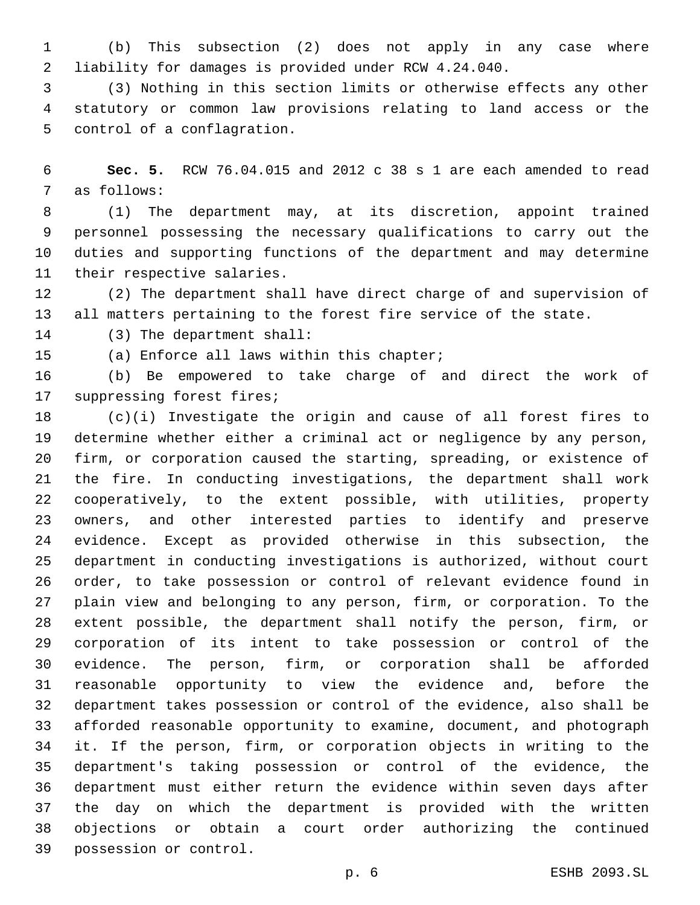(b) This subsection (2) does not apply in any case where liability for damages is provided under RCW 4.24.040.

 (3) Nothing in this section limits or otherwise effects any other statutory or common law provisions relating to land access or the 5 control of a conflagration.

 **Sec. 5.** RCW 76.04.015 and 2012 c 38 s 1 are each amended to read 7 as follows:

 (1) The department may, at its discretion, appoint trained personnel possessing the necessary qualifications to carry out the duties and supporting functions of the department and may determine 11 their respective salaries.

 (2) The department shall have direct charge of and supervision of all matters pertaining to the forest fire service of the state.

14 (3) The department shall:

15 (a) Enforce all laws within this chapter;

 (b) Be empowered to take charge of and direct the work of 17 suppressing forest fires;

 (c)(i) Investigate the origin and cause of all forest fires to determine whether either a criminal act or negligence by any person, firm, or corporation caused the starting, spreading, or existence of the fire. In conducting investigations, the department shall work cooperatively, to the extent possible, with utilities, property owners, and other interested parties to identify and preserve evidence. Except as provided otherwise in this subsection, the department in conducting investigations is authorized, without court order, to take possession or control of relevant evidence found in plain view and belonging to any person, firm, or corporation. To the extent possible, the department shall notify the person, firm, or corporation of its intent to take possession or control of the evidence. The person, firm, or corporation shall be afforded reasonable opportunity to view the evidence and, before the department takes possession or control of the evidence, also shall be afforded reasonable opportunity to examine, document, and photograph it. If the person, firm, or corporation objects in writing to the department's taking possession or control of the evidence, the department must either return the evidence within seven days after the day on which the department is provided with the written objections or obtain a court order authorizing the continued 39 possession or control.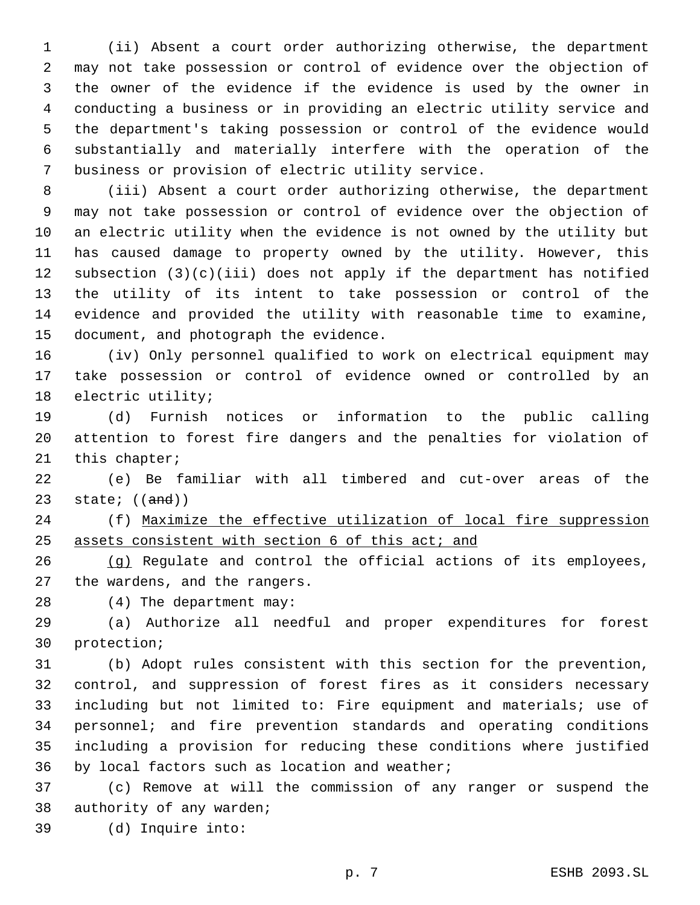(ii) Absent a court order authorizing otherwise, the department may not take possession or control of evidence over the objection of the owner of the evidence if the evidence is used by the owner in conducting a business or in providing an electric utility service and the department's taking possession or control of the evidence would substantially and materially interfere with the operation of the 7 business or provision of electric utility service.

 (iii) Absent a court order authorizing otherwise, the department may not take possession or control of evidence over the objection of an electric utility when the evidence is not owned by the utility but has caused damage to property owned by the utility. However, this subsection (3)(c)(iii) does not apply if the department has notified the utility of its intent to take possession or control of the evidence and provided the utility with reasonable time to examine, 15 document, and photograph the evidence.

 (iv) Only personnel qualified to work on electrical equipment may take possession or control of evidence owned or controlled by an 18 electric utility;

 (d) Furnish notices or information to the public calling attention to forest fire dangers and the penalties for violation of 21 this chapter;

 (e) Be familiar with all timbered and cut-over areas of the 23 state;  $((and))$ 

 (f) Maximize the effective utilization of local fire suppression 25 assets consistent with section 6 of this act; and

 (g) Regulate and control the official actions of its employees, 27 the wardens, and the rangers.

28 (4) The department may:

 (a) Authorize all needful and proper expenditures for forest 30 protection;

 (b) Adopt rules consistent with this section for the prevention, control, and suppression of forest fires as it considers necessary including but not limited to: Fire equipment and materials; use of personnel; and fire prevention standards and operating conditions including a provision for reducing these conditions where justified 36 by local factors such as location and weather;

 (c) Remove at will the commission of any ranger or suspend the 38 authority of any warden;

(d) Inquire into:39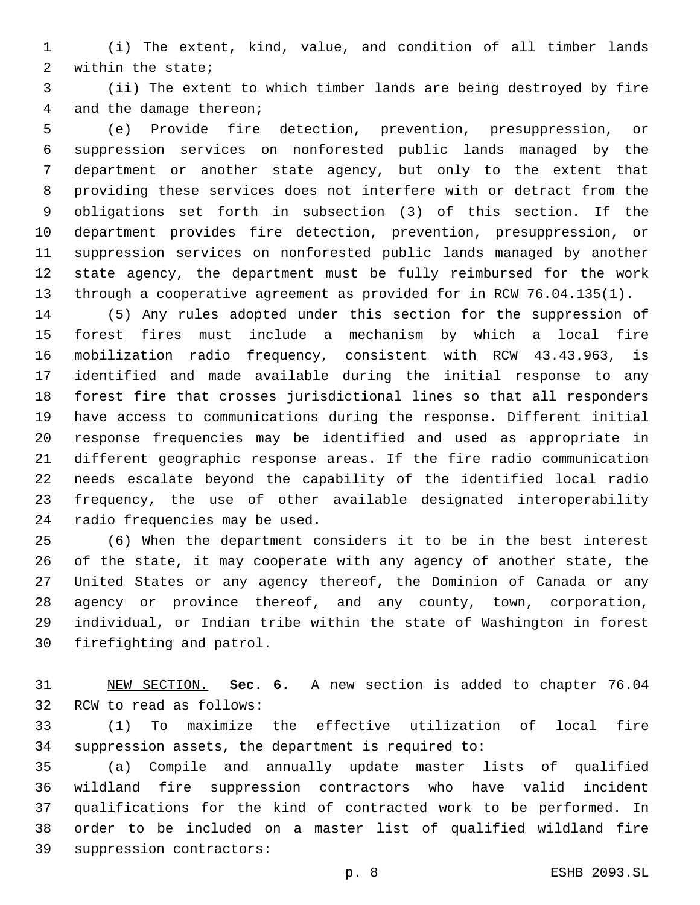- (i) The extent, kind, value, and condition of all timber lands 2 within the state;
- (ii) The extent to which timber lands are being destroyed by fire 4 and the damage thereon;

 (e) Provide fire detection, prevention, presuppression, or suppression services on nonforested public lands managed by the department or another state agency, but only to the extent that providing these services does not interfere with or detract from the obligations set forth in subsection (3) of this section. If the department provides fire detection, prevention, presuppression, or suppression services on nonforested public lands managed by another state agency, the department must be fully reimbursed for the work through a cooperative agreement as provided for in RCW 76.04.135(1).

 (5) Any rules adopted under this section for the suppression of forest fires must include a mechanism by which a local fire mobilization radio frequency, consistent with RCW 43.43.963, is identified and made available during the initial response to any forest fire that crosses jurisdictional lines so that all responders have access to communications during the response. Different initial response frequencies may be identified and used as appropriate in different geographic response areas. If the fire radio communication needs escalate beyond the capability of the identified local radio frequency, the use of other available designated interoperability 24 radio frequencies may be used.

 (6) When the department considers it to be in the best interest of the state, it may cooperate with any agency of another state, the United States or any agency thereof, the Dominion of Canada or any agency or province thereof, and any county, town, corporation, individual, or Indian tribe within the state of Washington in forest 30 firefighting and patrol.

 NEW SECTION. **Sec. 6.** A new section is added to chapter 76.04 32 RCW to read as follows:

 (1) To maximize the effective utilization of local fire suppression assets, the department is required to:

 (a) Compile and annually update master lists of qualified wildland fire suppression contractors who have valid incident qualifications for the kind of contracted work to be performed. In order to be included on a master list of qualified wildland fire 39 suppression contractors: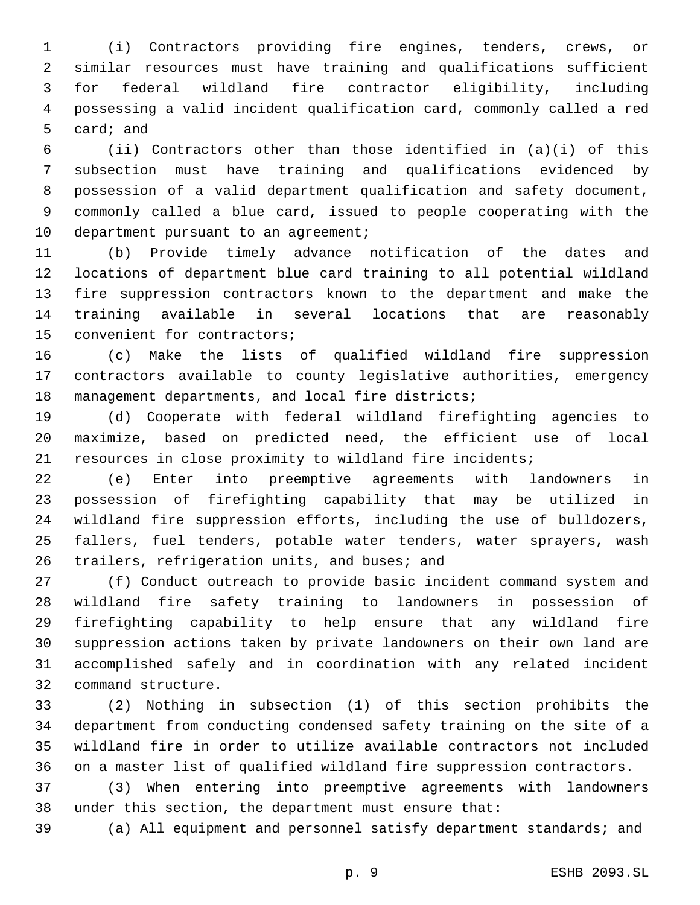(i) Contractors providing fire engines, tenders, crews, or similar resources must have training and qualifications sufficient for federal wildland fire contractor eligibility, including possessing a valid incident qualification card, commonly called a red 5 card; and

 (ii) Contractors other than those identified in (a)(i) of this subsection must have training and qualifications evidenced by possession of a valid department qualification and safety document, commonly called a blue card, issued to people cooperating with the 10 department pursuant to an agreement;

 (b) Provide timely advance notification of the dates and locations of department blue card training to all potential wildland fire suppression contractors known to the department and make the training available in several locations that are reasonably 15 convenient for contractors;

 (c) Make the lists of qualified wildland fire suppression contractors available to county legislative authorities, emergency 18 management departments, and local fire districts;

 (d) Cooperate with federal wildland firefighting agencies to maximize, based on predicted need, the efficient use of local resources in close proximity to wildland fire incidents;

 (e) Enter into preemptive agreements with landowners in possession of firefighting capability that may be utilized in wildland fire suppression efforts, including the use of bulldozers, fallers, fuel tenders, potable water tenders, water sprayers, wash 26 trailers, refrigeration units, and buses; and

 (f) Conduct outreach to provide basic incident command system and wildland fire safety training to landowners in possession of firefighting capability to help ensure that any wildland fire suppression actions taken by private landowners on their own land are accomplished safely and in coordination with any related incident 32 command structure.

 (2) Nothing in subsection (1) of this section prohibits the department from conducting condensed safety training on the site of a wildland fire in order to utilize available contractors not included on a master list of qualified wildland fire suppression contractors.

 (3) When entering into preemptive agreements with landowners under this section, the department must ensure that:

(a) All equipment and personnel satisfy department standards; and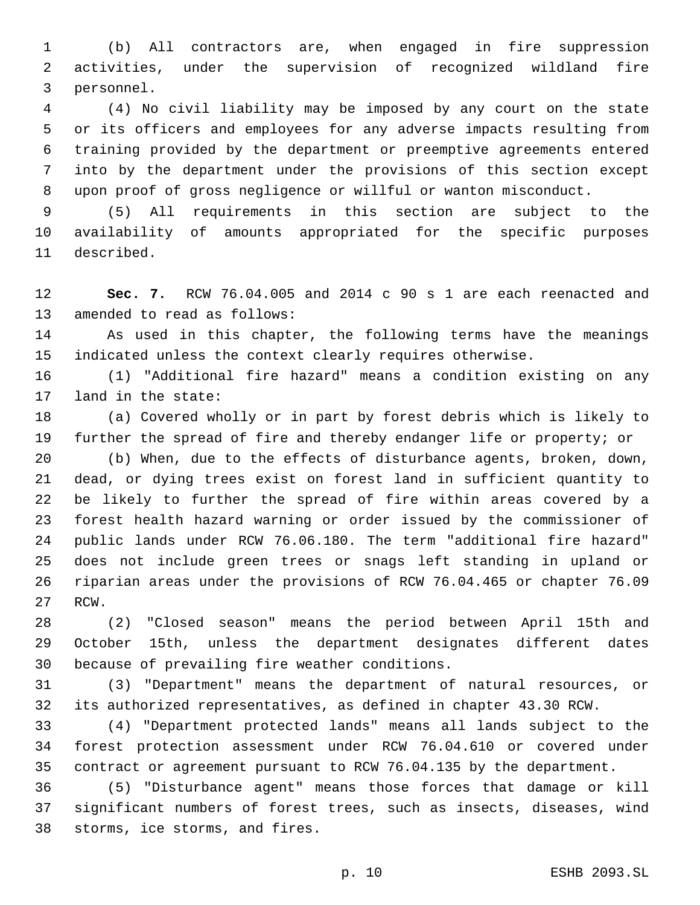(b) All contractors are, when engaged in fire suppression activities, under the supervision of recognized wildland fire 3 personnel.

 (4) No civil liability may be imposed by any court on the state or its officers and employees for any adverse impacts resulting from training provided by the department or preemptive agreements entered into by the department under the provisions of this section except upon proof of gross negligence or willful or wanton misconduct.

 (5) All requirements in this section are subject to the availability of amounts appropriated for the specific purposes 11 described.

 **Sec. 7.** RCW 76.04.005 and 2014 c 90 s 1 are each reenacted and 13 amended to read as follows:

 As used in this chapter, the following terms have the meanings indicated unless the context clearly requires otherwise.

 (1) "Additional fire hazard" means a condition existing on any 17 land in the state:

 (a) Covered wholly or in part by forest debris which is likely to further the spread of fire and thereby endanger life or property; or

 (b) When, due to the effects of disturbance agents, broken, down, dead, or dying trees exist on forest land in sufficient quantity to be likely to further the spread of fire within areas covered by a forest health hazard warning or order issued by the commissioner of public lands under RCW 76.06.180. The term "additional fire hazard" does not include green trees or snags left standing in upland or riparian areas under the provisions of RCW 76.04.465 or chapter 76.09 27 RCW.

 (2) "Closed season" means the period between April 15th and October 15th, unless the department designates different dates 30 because of prevailing fire weather conditions.

 (3) "Department" means the department of natural resources, or its authorized representatives, as defined in chapter 43.30 RCW.

 (4) "Department protected lands" means all lands subject to the forest protection assessment under RCW 76.04.610 or covered under contract or agreement pursuant to RCW 76.04.135 by the department.

 (5) "Disturbance agent" means those forces that damage or kill significant numbers of forest trees, such as insects, diseases, wind 38 storms, ice storms, and fires.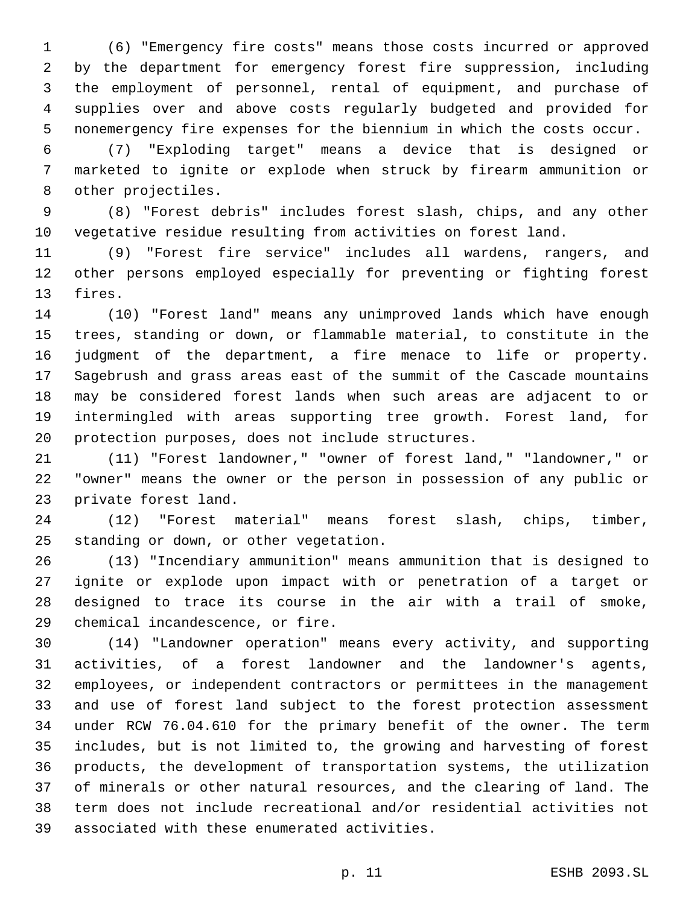(6) "Emergency fire costs" means those costs incurred or approved by the department for emergency forest fire suppression, including the employment of personnel, rental of equipment, and purchase of supplies over and above costs regularly budgeted and provided for nonemergency fire expenses for the biennium in which the costs occur.

 (7) "Exploding target" means a device that is designed or marketed to ignite or explode when struck by firearm ammunition or 8 other projectiles.

 (8) "Forest debris" includes forest slash, chips, and any other vegetative residue resulting from activities on forest land.

 (9) "Forest fire service" includes all wardens, rangers, and other persons employed especially for preventing or fighting forest 13 fires.

 (10) "Forest land" means any unimproved lands which have enough trees, standing or down, or flammable material, to constitute in the judgment of the department, a fire menace to life or property. Sagebrush and grass areas east of the summit of the Cascade mountains may be considered forest lands when such areas are adjacent to or intermingled with areas supporting tree growth. Forest land, for 20 protection purposes, does not include structures.

 (11) "Forest landowner," "owner of forest land," "landowner," or "owner" means the owner or the person in possession of any public or 23 private forest land.

 (12) "Forest material" means forest slash, chips, timber, 25 standing or down, or other vegetation.

 (13) "Incendiary ammunition" means ammunition that is designed to ignite or explode upon impact with or penetration of a target or designed to trace its course in the air with a trail of smoke, 29 chemical incandescence, or fire.

 (14) "Landowner operation" means every activity, and supporting activities, of a forest landowner and the landowner's agents, employees, or independent contractors or permittees in the management and use of forest land subject to the forest protection assessment under RCW 76.04.610 for the primary benefit of the owner. The term includes, but is not limited to, the growing and harvesting of forest products, the development of transportation systems, the utilization of minerals or other natural resources, and the clearing of land. The term does not include recreational and/or residential activities not associated with these enumerated activities.39

p. 11 ESHB 2093.SL